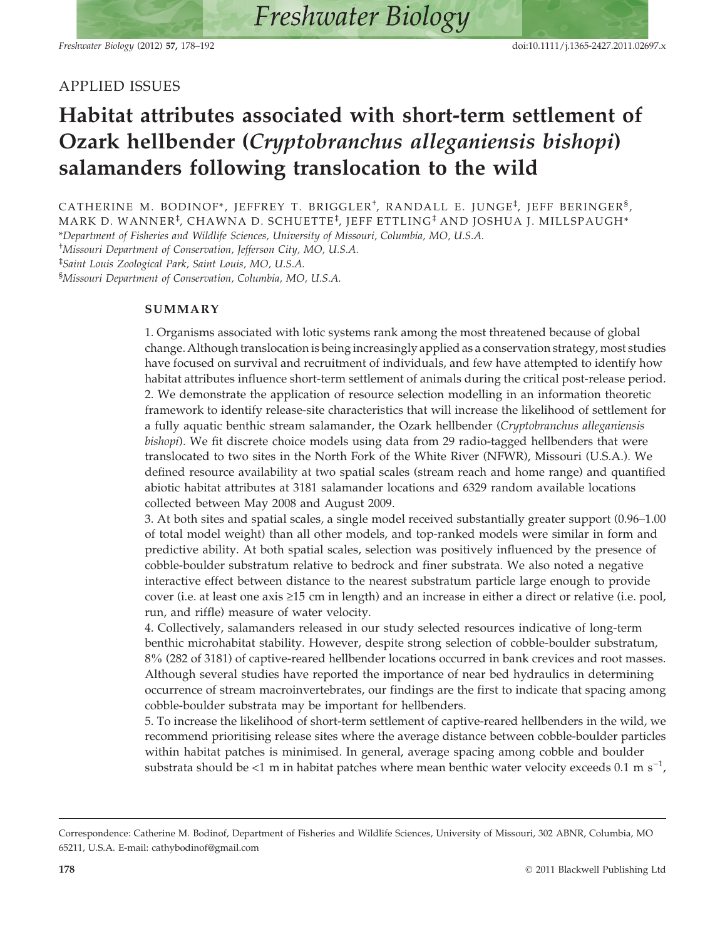## APPLIED ISSUES

# Habitat attributes associated with short-term settlement of Ozark hellbender (Cryptobranchus alleganiensis bishopi) salamanders following translocation to the wild

CATHERINE M. BODINOF\*, JEFFREY T. BRIGGLER $^\dagger$ , RANDALL E. JUNGE $^\ddagger$ , JEFF BERINGER $^{\rm S}$ , MARK D. WANNER‡ , CHAWNA D. SCHUETTE‡ , JEFF ETTLING‡ AND JOSHUA J. MILLSPAUGH\*

\*Department of Fisheries and Wildlife Sciences, University of Missouri, Columbia, MO, U.S.A.

† Missouri Department of Conservation, Jefferson City, MO, U.S.A.

‡ Saint Louis Zoological Park, Saint Louis, MO, U.S.A.

§ Missouri Department of Conservation, Columbia, MO, U.S.A.

## SUMMARY

1. Organisms associated with lotic systems rank among the most threatened because of global change. Although translocation is being increasingly applied as a conservation strategy, most studies have focused on survival and recruitment of individuals, and few have attempted to identify how habitat attributes influence short-term settlement of animals during the critical post-release period. 2. We demonstrate the application of resource selection modelling in an information theoretic framework to identify release-site characteristics that will increase the likelihood of settlement for a fully aquatic benthic stream salamander, the Ozark hellbender (Cryptobranchus alleganiensis bishopi). We fit discrete choice models using data from 29 radio-tagged hellbenders that were translocated to two sites in the North Fork of the White River (NFWR), Missouri (U.S.A.). We defined resource availability at two spatial scales (stream reach and home range) and quantified abiotic habitat attributes at 3181 salamander locations and 6329 random available locations collected between May 2008 and August 2009.

3. At both sites and spatial scales, a single model received substantially greater support (0.96–1.00 of total model weight) than all other models, and top-ranked models were similar in form and predictive ability. At both spatial scales, selection was positively influenced by the presence of cobble-boulder substratum relative to bedrock and finer substrata. We also noted a negative interactive effect between distance to the nearest substratum particle large enough to provide cover (i.e. at least one axis  $\geq 15$  cm in length) and an increase in either a direct or relative (i.e. pool, run, and riffle) measure of water velocity.

4. Collectively, salamanders released in our study selected resources indicative of long-term benthic microhabitat stability. However, despite strong selection of cobble-boulder substratum, 8% (282 of 3181) of captive-reared hellbender locations occurred in bank crevices and root masses. Although several studies have reported the importance of near bed hydraulics in determining occurrence of stream macroinvertebrates, our findings are the first to indicate that spacing among cobble-boulder substrata may be important for hellbenders.

5. To increase the likelihood of short-term settlement of captive-reared hellbenders in the wild, we recommend prioritising release sites where the average distance between cobble-boulder particles within habitat patches is minimised. In general, average spacing among cobble and boulder substrata should be <1 m in habitat patches where mean benthic water velocity exceeds 0.1 m s<sup>-1</sup>,

Correspondence: Catherine M. Bodinof, Department of Fisheries and Wildlife Sciences, University of Missouri, 302 ABNR, Columbia, MO 65211, U.S.A. E-mail: cathybodinof@gmail.com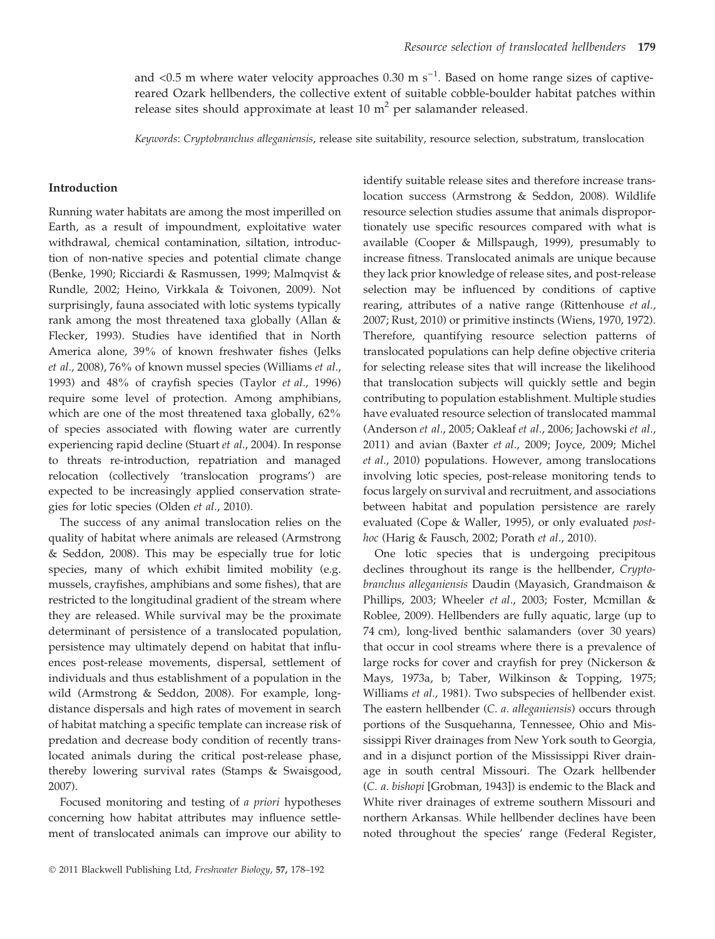and <0.5 m where water velocity approaches 0.30 m  $s^{-1}$ . Based on home range sizes of captivereared Ozark hellbenders, the collective extent of suitable cobble-boulder habitat patches within release sites should approximate at least 10  $m<sup>2</sup>$  per salamander released.

Keywords: Cryptobranchus alleganiensis, release site suitability, resource selection, substratum, translocation

## Introduction

Running water habitats are among the most imperilled on Earth, as a result of impoundment, exploitative water withdrawal, chemical contamination, siltation, introduction of non-native species and potential climate change (Benke, 1990; Ricciardi & Rasmussen, 1999; Malmqvist & Rundle, 2002; Heino, Virkkala & Toivonen, 2009). Not surprisingly, fauna associated with lotic systems typically rank among the most threatened taxa globally (Allan & Flecker, 1993). Studies have identified that in North America alone, 39% of known freshwater fishes (Jelks et al., 2008), 76% of known mussel species (Williams et al., 1993) and 48% of crayfish species (Taylor et al., 1996) require some level of protection. Among amphibians, which are one of the most threatened taxa globally, 62% of species associated with flowing water are currently experiencing rapid decline (Stuart et al., 2004). In response to threats re-introduction, repatriation and managed relocation (collectively 'translocation programs') are expected to be increasingly applied conservation strategies for lotic species (Olden et al., 2010).

The success of any animal translocation relies on the quality of habitat where animals are released (Armstrong & Seddon, 2008). This may be especially true for lotic species, many of which exhibit limited mobility (e.g. mussels, crayfishes, amphibians and some fishes), that are restricted to the longitudinal gradient of the stream where they are released. While survival may be the proximate determinant of persistence of a translocated population, persistence may ultimately depend on habitat that influences post-release movements, dispersal, settlement of individuals and thus establishment of a population in the wild (Armstrong & Seddon, 2008). For example, longdistance dispersals and high rates of movement in search of habitat matching a specific template can increase risk of predation and decrease body condition of recently translocated animals during the critical post-release phase, thereby lowering survival rates (Stamps & Swaisgood, 2007).

Focused monitoring and testing of a priori hypotheses concerning how habitat attributes may influence settlement of translocated animals can improve our ability to identify suitable release sites and therefore increase translocation success (Armstrong & Seddon, 2008). Wildlife resource selection studies assume that animals disproportionately use specific resources compared with what is available (Cooper & Millspaugh, 1999), presumably to increase fitness. Translocated animals are unique because they lack prior knowledge of release sites, and post-release selection may be influenced by conditions of captive rearing, attributes of a native range (Rittenhouse et al., 2007; Rust, 2010) or primitive instincts (Wiens, 1970, 1972). Therefore, quantifying resource selection patterns of translocated populations can help define objective criteria for selecting release sites that will increase the likelihood that translocation subjects will quickly settle and begin contributing to population establishment. Multiple studies have evaluated resource selection of translocated mammal (Anderson et al., 2005; Oakleaf et al., 2006; Jachowski et al., 2011) and avian (Baxter et al., 2009; Joyce, 2009; Michel et al., 2010) populations. However, among translocations involving lotic species, post-release monitoring tends to focus largely on survival and recruitment, and associations between habitat and population persistence are rarely evaluated (Cope & Waller, 1995), or only evaluated posthoc (Harig & Fausch, 2002; Porath et al., 2010).

One lotic species that is undergoing precipitous declines throughout its range is the hellbender, Cryptobranchus alleganiensis Daudin (Mayasich, Grandmaison & Phillips, 2003; Wheeler et al., 2003; Foster, Mcmillan & Roblee, 2009). Hellbenders are fully aquatic, large (up to 74 cm), long-lived benthic salamanders (over 30 years) that occur in cool streams where there is a prevalence of large rocks for cover and crayfish for prey (Nickerson & Mays, 1973a, b; Taber, Wilkinson & Topping, 1975; Williams et al., 1981). Two subspecies of hellbender exist. The eastern hellbender (C. a. alleganiensis) occurs through portions of the Susquehanna, Tennessee, Ohio and Mississippi River drainages from New York south to Georgia, and in a disjunct portion of the Mississippi River drainage in south central Missouri. The Ozark hellbender (C. a. bishopi [Grobman, 1943]) is endemic to the Black and White river drainages of extreme southern Missouri and northern Arkansas. While hellbender declines have been noted throughout the species' range (Federal Register,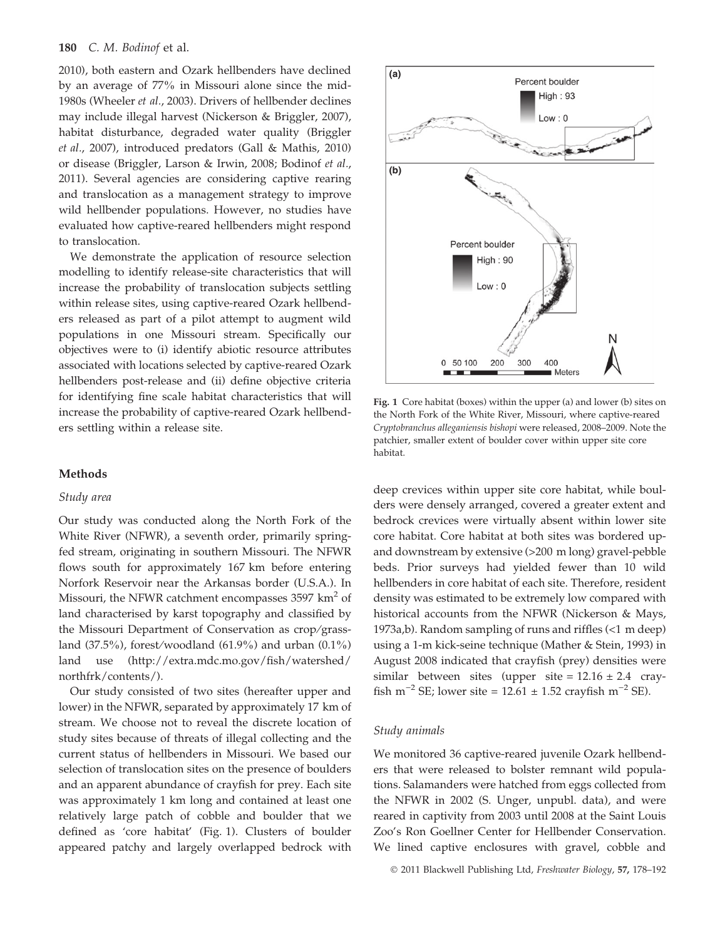2010), both eastern and Ozark hellbenders have declined by an average of 77% in Missouri alone since the mid-1980s (Wheeler et al., 2003). Drivers of hellbender declines may include illegal harvest (Nickerson & Briggler, 2007), habitat disturbance, degraded water quality (Briggler et al., 2007), introduced predators (Gall & Mathis, 2010) or disease (Briggler, Larson & Irwin, 2008; Bodinof et al., 2011). Several agencies are considering captive rearing and translocation as a management strategy to improve wild hellbender populations. However, no studies have evaluated how captive-reared hellbenders might respond to translocation.

We demonstrate the application of resource selection modelling to identify release-site characteristics that will increase the probability of translocation subjects settling within release sites, using captive-reared Ozark hellbenders released as part of a pilot attempt to augment wild populations in one Missouri stream. Specifically our objectives were to (i) identify abiotic resource attributes associated with locations selected by captive-reared Ozark hellbenders post-release and (ii) define objective criteria for identifying fine scale habitat characteristics that will increase the probability of captive-reared Ozark hellbenders settling within a release site.

### Methods

#### Study area

Our study was conducted along the North Fork of the White River (NFWR), a seventh order, primarily springfed stream, originating in southern Missouri. The NFWR flows south for approximately 167 km before entering Norfork Reservoir near the Arkansas border (U.S.A.). In Missouri, the NFWR catchment encompasses  $3597 \text{ km}^2$  of land characterised by karst topography and classified by the Missouri Department of Conservation as crop/grassland (37.5%), forest⁄woodland (61.9%) and urban (0.1%) land use (http://extra.mdc.mo.gov/fish/watershed/ northfrk/contents/).

Our study consisted of two sites (hereafter upper and lower) in the NFWR, separated by approximately 17 km of stream. We choose not to reveal the discrete location of study sites because of threats of illegal collecting and the current status of hellbenders in Missouri. We based our selection of translocation sites on the presence of boulders and an apparent abundance of crayfish for prey. Each site was approximately 1 km long and contained at least one relatively large patch of cobble and boulder that we defined as 'core habitat' (Fig. 1). Clusters of boulder appeared patchy and largely overlapped bedrock with



Fig. 1 Core habitat (boxes) within the upper (a) and lower (b) sites on the North Fork of the White River, Missouri, where captive-reared Cryptobranchus alleganiensis bishopi were released, 2008–2009. Note the patchier, smaller extent of boulder cover within upper site core habitat.

deep crevices within upper site core habitat, while boulders were densely arranged, covered a greater extent and bedrock crevices were virtually absent within lower site core habitat. Core habitat at both sites was bordered upand downstream by extensive (>200 m long) gravel-pebble beds. Prior surveys had yielded fewer than 10 wild hellbenders in core habitat of each site. Therefore, resident density was estimated to be extremely low compared with historical accounts from the NFWR (Nickerson & Mays, 1973a,b). Random sampling of runs and riffles (<1 m deep) using a 1-m kick-seine technique (Mather & Stein, 1993) in August 2008 indicated that crayfish (prey) densities were similar between sites (upper site  $= 12.16 \pm 2.4$  crayfish m<sup>-2</sup> SE; lower site = 12.61  $\pm$  1.52 crayfish m<sup>-2</sup> SE).

#### Study animals

We monitored 36 captive-reared juvenile Ozark hellbenders that were released to bolster remnant wild populations. Salamanders were hatched from eggs collected from the NFWR in 2002 (S. Unger, unpubl. data), and were reared in captivity from 2003 until 2008 at the Saint Louis Zoo's Ron Goellner Center for Hellbender Conservation. We lined captive enclosures with gravel, cobble and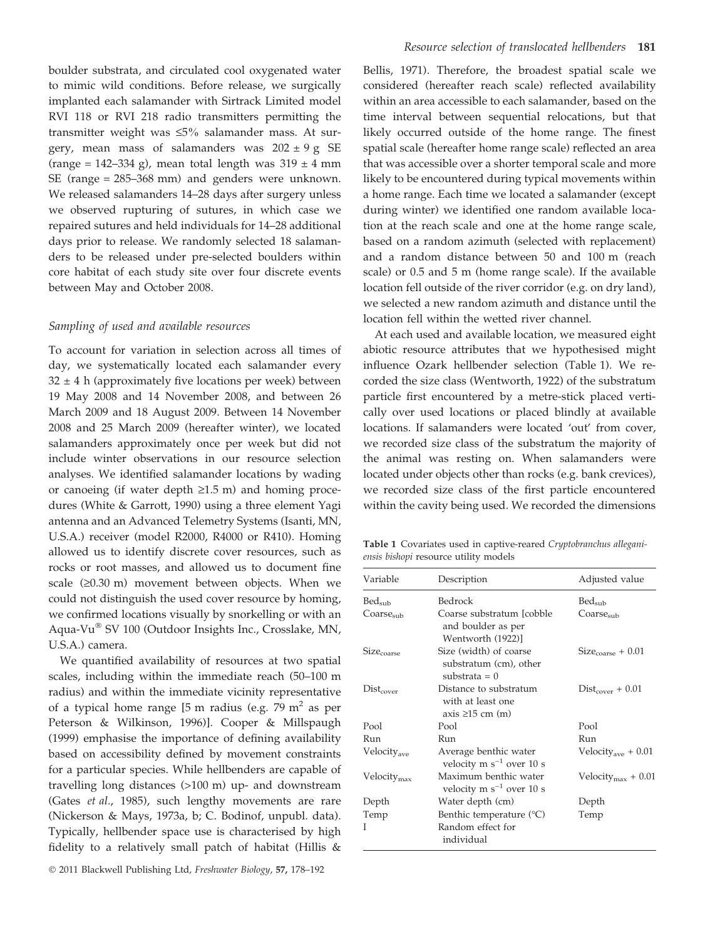boulder substrata, and circulated cool oxygenated water to mimic wild conditions. Before release, we surgically implanted each salamander with Sirtrack Limited model RVI 118 or RVI 218 radio transmitters permitting the transmitter weight was  $\leq 5\%$  salamander mass. At surgery, mean mass of salamanders was  $202 \pm 9$  g SE (range = 142–334 g), mean total length was  $319 \pm 4$  mm SE (range = 285–368 mm) and genders were unknown. We released salamanders 14–28 days after surgery unless we observed rupturing of sutures, in which case we repaired sutures and held individuals for 14–28 additional days prior to release. We randomly selected 18 salamanders to be released under pre-selected boulders within core habitat of each study site over four discrete events between May and October 2008.

#### Sampling of used and available resources

To account for variation in selection across all times of day, we systematically located each salamander every  $32 \pm 4$  h (approximately five locations per week) between 19 May 2008 and 14 November 2008, and between 26 March 2009 and 18 August 2009. Between 14 November 2008 and 25 March 2009 (hereafter winter), we located salamanders approximately once per week but did not include winter observations in our resource selection analyses. We identified salamander locations by wading or canoeing (if water depth  $\geq 1.5$  m) and homing procedures (White & Garrott, 1990) using a three element Yagi antenna and an Advanced Telemetry Systems (Isanti, MN, U.S.A.) receiver (model R2000, R4000 or R410). Homing allowed us to identify discrete cover resources, such as rocks or root masses, and allowed us to document fine scale  $(20.30 \text{ m})$  movement between objects. When we could not distinguish the used cover resource by homing, we confirmed locations visually by snorkelling or with an Aqua-Vu® SV 100 (Outdoor Insights Inc., Crosslake, MN, U.S.A.) camera.

We quantified availability of resources at two spatial scales, including within the immediate reach (50–100 m radius) and within the immediate vicinity representative of a typical home range  $[5 \text{ m} \text{ radius} \text{ (e.g. } 79 \text{ m}^2 \text{ as per}$ Peterson & Wilkinson, 1996)]. Cooper & Millspaugh (1999) emphasise the importance of defining availability based on accessibility defined by movement constraints for a particular species. While hellbenders are capable of travelling long distances (>100 m) up- and downstream (Gates et al., 1985), such lengthy movements are rare (Nickerson & Mays, 1973a, b; C. Bodinof, unpubl. data). Typically, hellbender space use is characterised by high fidelity to a relatively small patch of habitat (Hillis &

Bellis, 1971). Therefore, the broadest spatial scale we considered (hereafter reach scale) reflected availability within an area accessible to each salamander, based on the time interval between sequential relocations, but that likely occurred outside of the home range. The finest spatial scale (hereafter home range scale) reflected an area that was accessible over a shorter temporal scale and more likely to be encountered during typical movements within a home range. Each time we located a salamander (except during winter) we identified one random available location at the reach scale and one at the home range scale, based on a random azimuth (selected with replacement) and a random distance between 50 and 100 m (reach scale) or 0.5 and 5 m (home range scale). If the available location fell outside of the river corridor (e.g. on dry land), we selected a new random azimuth and distance until the location fell within the wetted river channel.

At each used and available location, we measured eight abiotic resource attributes that we hypothesised might influence Ozark hellbender selection (Table 1). We recorded the size class (Wentworth, 1922) of the substratum particle first encountered by a metre-stick placed vertically over used locations or placed blindly at available locations. If salamanders were located 'out' from cover, we recorded size class of the substratum the majority of the animal was resting on. When salamanders were located under objects other than rocks (e.g. bank crevices), we recorded size class of the first particle encountered within the cavity being used. We recorded the dimensions

Table 1 Covariates used in captive-reared Cryptobranchus alleganiensis bishopi resource utility models

| Variable                | Description                                                          | Adjusted value                   |  |  |
|-------------------------|----------------------------------------------------------------------|----------------------------------|--|--|
| Bed <sub>sub</sub>      | Bedrock                                                              | Bed <sub>oub</sub>               |  |  |
| Coarse <sub>sub</sub>   | Coarse substratum [cobble<br>and boulder as per<br>Wentworth (1922)] | Coarse <sub>sub</sub>            |  |  |
| Size <sub>coarse</sub>  | Size (width) of coarse<br>substratum (cm), other<br>substrata = $0$  | $Size_{coarse} + 0.01$           |  |  |
| $Dist_{cover}$          | Distance to substratum<br>with at least one<br>axis $\geq$ 15 cm (m) | $Dist_{cover} + 0.01$            |  |  |
| Pool                    | Pool                                                                 | Pool                             |  |  |
| Run                     | Run                                                                  | $_{\rm{Run}}$                    |  |  |
| Velocity <sub>ave</sub> | Average benthic water<br>velocity m $s^{-1}$ over 10 s               | Velocity <sub>ave</sub> $+$ 0.01 |  |  |
| $Velocity_{max}$        | Maximum benthic water<br>velocity m $s^{-1}$ over 10 s               | Velocity <sub>max</sub> + $0.01$ |  |  |
| Depth                   | Water depth (cm)                                                     | Depth                            |  |  |
| Temp                    | Benthic temperature (°C)                                             | Temp                             |  |  |
| I                       | Random effect for<br>individual                                      |                                  |  |  |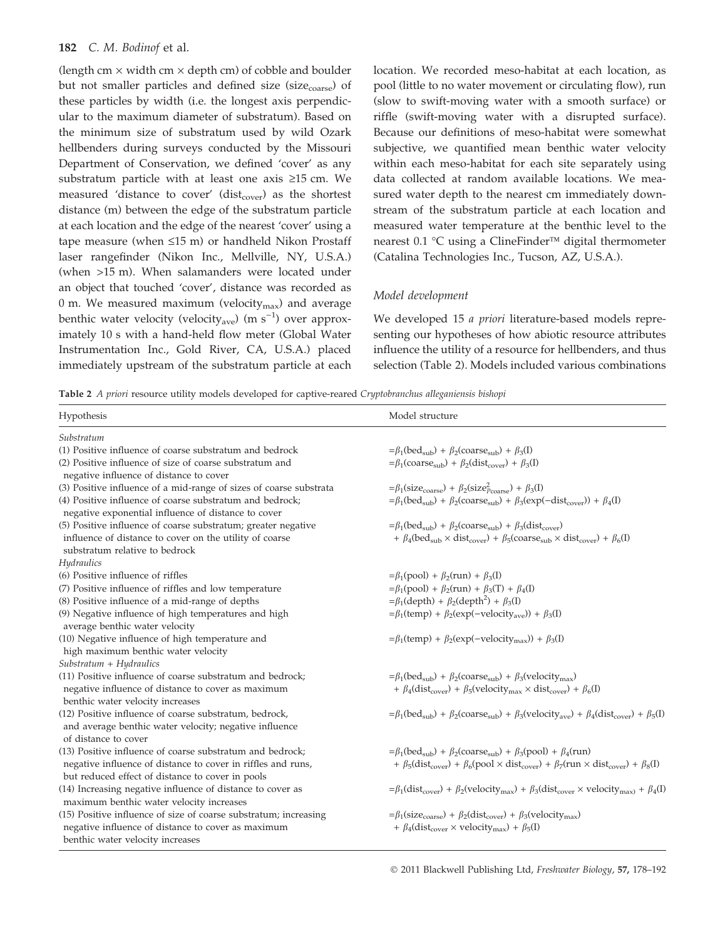(length cm  $\times$  width cm  $\times$  depth cm) of cobble and boulder but not smaller particles and defined size (size $_{\text{coarse}}$ ) of these particles by width (i.e. the longest axis perpendicular to the maximum diameter of substratum). Based on the minimum size of substratum used by wild Ozark hellbenders during surveys conducted by the Missouri Department of Conservation, we defined 'cover' as any substratum particle with at least one axis  $\geq 15$  cm. We measured 'distance to cover' (dist $_{\text{cover}}$ ) as the shortest distance (m) between the edge of the substratum particle at each location and the edge of the nearest 'cover' using a tape measure (when  $\leq 15$  m) or handheld Nikon Prostaff laser rangefinder (Nikon Inc., Mellville, NY, U.S.A.) (when >15 m). When salamanders were located under an object that touched 'cover', distance was recorded as 0 m. We measured maximum (velocity $_{\text{max}}$ ) and average benthic water velocity (velocity<sub>ave</sub>) (m s<sup>-1</sup>) over approximately 10 s with a hand-held flow meter (Global Water Instrumentation Inc., Gold River, CA, U.S.A.) placed immediately upstream of the substratum particle at each

location. We recorded meso-habitat at each location, as pool (little to no water movement or circulating flow), run (slow to swift-moving water with a smooth surface) or riffle (swift-moving water with a disrupted surface). Because our definitions of meso-habitat were somewhat subjective, we quantified mean benthic water velocity within each meso-habitat for each site separately using data collected at random available locations. We measured water depth to the nearest cm immediately downstream of the substratum particle at each location and measured water temperature at the benthic level to the nearest 0.1  $\degree$ C using a ClineFinder<sup>TM</sup> digital thermometer (Catalina Technologies Inc., Tucson, AZ, U.S.A.).

#### Model development

We developed 15 a priori literature-based models representing our hypotheses of how abiotic resource attributes influence the utility of a resource for hellbenders, and thus selection (Table 2). Models included various combinations

Table 2 A priori resource utility models developed for captive-reared Cryptobranchus alleganiensis bishopi

| Hypothesis                                                                                                                                                 | Model structure                                                                                                                                                                                     |
|------------------------------------------------------------------------------------------------------------------------------------------------------------|-----------------------------------------------------------------------------------------------------------------------------------------------------------------------------------------------------|
| Substratum                                                                                                                                                 |                                                                                                                                                                                                     |
| (1) Positive influence of coarse substratum and bedrock                                                                                                    | $=\beta_1(\text{bed}_{sub}) + \beta_2(\text{coarse}_{sub}) + \beta_3(I)$                                                                                                                            |
| (2) Positive influence of size of coarse substratum and<br>negative influence of distance to cover                                                         | $=\beta_1$ (coarse <sub>sub</sub> ) + $\beta_2$ (dist <sub>cover</sub> ) + $\beta_3$ (I)                                                                                                            |
| (3) Positive influence of a mid-range of sizes of coarse substrata                                                                                         | $= \beta_1 \text{(size}_{\text{coarse}}) + \beta_2 \text{(size}_{\text{Poarse}}^2) + \beta_3 \text{(I)}$                                                                                            |
| (4) Positive influence of coarse substratum and bedrock;<br>negative exponential influence of distance to cover                                            | $=\beta_1(\text{bed}_{sub}) + \beta_2(\text{coarse}_{sub}) + \beta_3(\text{exp}(-\text{dist}_{cover})) + \beta_4(I)$                                                                                |
| (5) Positive influence of coarse substratum; greater negative                                                                                              | $=\beta_1(\text{bed}_{sub}) + \beta_2(\text{coarse}_{sub}) + \beta_3(\text{dist}_{cover})$                                                                                                          |
| influence of distance to cover on the utility of coarse<br>substratum relative to bedrock                                                                  | + $\beta_4 (bed_{sub} \times dist_{cover}) + \beta_5 (coarse_{sub} \times dist_{cover}) + \beta_6(I)$                                                                                               |
| Hydraulics                                                                                                                                                 |                                                                                                                                                                                                     |
| (6) Positive influence of riffles                                                                                                                          | $=\beta_1(\text{pool}) + \beta_2(\text{run}) + \beta_3(I)$                                                                                                                                          |
| (7) Positive influence of riffles and low temperature                                                                                                      | $=\beta_1(\text{pool}) + \beta_2(\text{run}) + \beta_3(T) + \beta_4(I)$                                                                                                                             |
| (8) Positive influence of a mid-range of depths                                                                                                            | $=\beta_1$ (depth) + $\beta_2$ (depth <sup>2</sup> ) + $\beta_3$ (I)                                                                                                                                |
| (9) Negative influence of high temperatures and high<br>average benthic water velocity                                                                     | $=\beta_1$ (temp) + $\beta_2$ (exp(-velocity <sub>ave</sub> )) + $\beta_3$ (I)                                                                                                                      |
| (10) Negative influence of high temperature and<br>high maximum benthic water velocity                                                                     | $=\beta_1$ (temp) + $\beta_2$ (exp(-velocity <sub>max</sub> )) + $\beta_3$ (I)                                                                                                                      |
| $Substratum + Hydraulics$                                                                                                                                  |                                                                                                                                                                                                     |
| (11) Positive influence of coarse substratum and bedrock;<br>negative influence of distance to cover as maximum<br>benthic water velocity increases        | $=\beta_1 (bed_{sub}) + \beta_2 (coarse_{sub}) + \beta_3 (velocity_{max})$<br>+ $\beta_4$ (dist <sub>cover</sub> ) + $\beta_5$ (velocity <sub>max</sub> × dist <sub>cover</sub> ) + $\beta_6$ (I)   |
| (12) Positive influence of coarse substratum, bedrock,<br>and average benthic water velocity; negative influence<br>of distance to cover                   | $=\beta_1(\text{bed}_{sub}) + \beta_2(\text{coarse}_{sub}) + \beta_3(\text{velocity}_{ave}) + \beta_4(\text{dist}_{cover}) + \beta_5(I)$                                                            |
| (13) Positive influence of coarse substratum and bedrock;                                                                                                  | $=\beta_1(\text{bed}_{\text{sub}})+\beta_2(\text{coarse}_{\text{sub}})+\beta_3(\text{pool})+\beta_4(\text{run})$                                                                                    |
| negative influence of distance to cover in riffles and runs,<br>but reduced effect of distance to cover in pools                                           | + $\beta_5$ (dist <sub>cover</sub> ) + $\beta_6$ (pool × dist <sub>cover</sub> ) + $\beta_7$ (run × dist <sub>cover</sub> ) + $\beta_8$ (I)                                                         |
| (14) Increasing negative influence of distance to cover as<br>maximum benthic water velocity increases                                                     | $=\beta_1(\text{dist}_{\text{cover}})+\beta_2(\text{velocity}_{\text{max}})+\beta_3(\text{dist}_{\text{cover}}\times \text{velocity}_{\text{max}})+\beta_4(I)$                                      |
| (15) Positive influence of size of coarse substratum; increasing<br>negative influence of distance to cover as maximum<br>benthic water velocity increases | $=\beta_1\text{(size}_{\text{coarse}})+\beta_2\text{(dist}_{\text{cover}})+\beta_3\text{(velocity}_{\text{max}})$<br>+ $\beta_4$ (dist <sub>cover</sub> × velocity <sub>max</sub> ) + $\beta_5$ (I) |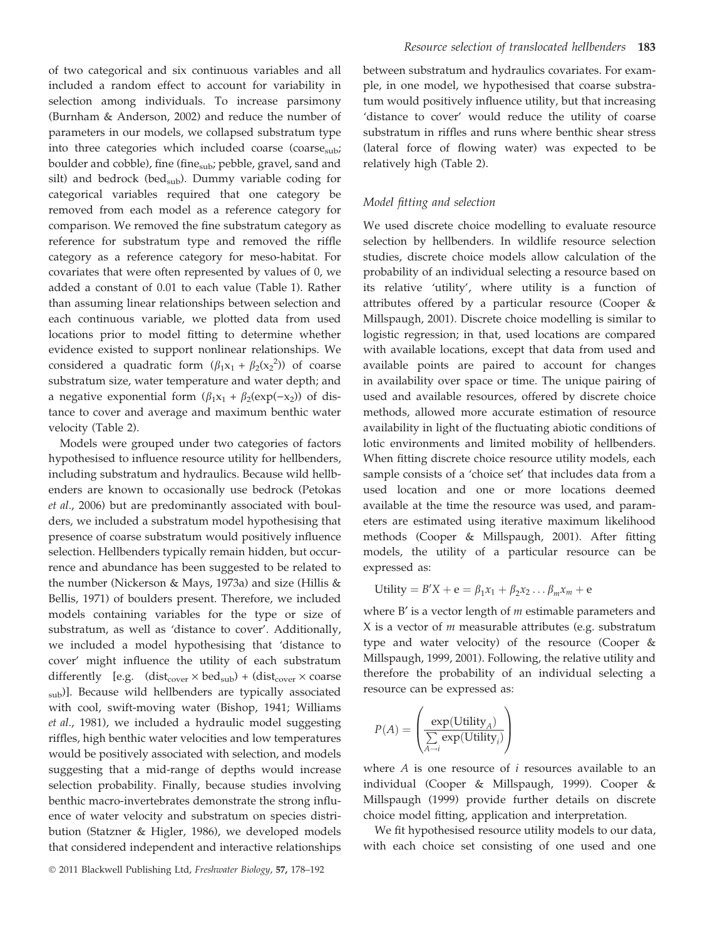of two categorical and six continuous variables and all included a random effect to account for variability in selection among individuals. To increase parsimony (Burnham & Anderson, 2002) and reduce the number of parameters in our models, we collapsed substratum type into three categories which included coarse (coarse $_{subi}$ ) boulder and cobble), fine (finesub; pebble, gravel, sand and silt) and bedrock (bed<sub>sub</sub>). Dummy variable coding for categorical variables required that one category be removed from each model as a reference category for comparison. We removed the fine substratum category as reference for substratum type and removed the riffle category as a reference category for meso-habitat. For covariates that were often represented by values of 0, we added a constant of 0.01 to each value (Table 1). Rather than assuming linear relationships between selection and each continuous variable, we plotted data from used locations prior to model fitting to determine whether evidence existed to support nonlinear relationships. We considered a quadratic form  $(\beta_1x_1 + \beta_2(x_2^2))$  of coarse substratum size, water temperature and water depth; and a negative exponential form  $(\beta_1x_1 + \beta_2(\exp(-x_2))$  of distance to cover and average and maximum benthic water velocity (Table 2).

Models were grouped under two categories of factors hypothesised to influence resource utility for hellbenders, including substratum and hydraulics. Because wild hellbenders are known to occasionally use bedrock (Petokas et al., 2006) but are predominantly associated with boulders, we included a substratum model hypothesising that presence of coarse substratum would positively influence selection. Hellbenders typically remain hidden, but occurrence and abundance has been suggested to be related to the number (Nickerson & Mays, 1973a) and size (Hillis & Bellis, 1971) of boulders present. Therefore, we included models containing variables for the type or size of substratum, as well as 'distance to cover'. Additionally, we included a model hypothesising that 'distance to cover' might influence the utility of each substratum differently [e.g. (dist<sub>cover</sub>  $\times$  bed<sub>sub</sub>) + (dist<sub>cover</sub>  $\times$  coarse sub)]. Because wild hellbenders are typically associated with cool, swift-moving water (Bishop, 1941; Williams et al., 1981), we included a hydraulic model suggesting riffles, high benthic water velocities and low temperatures would be positively associated with selection, and models suggesting that a mid-range of depths would increase selection probability. Finally, because studies involving benthic macro-invertebrates demonstrate the strong influence of water velocity and substratum on species distribution (Statzner & Higler, 1986), we developed models that considered independent and interactive relationships between substratum and hydraulics covariates. For example, in one model, we hypothesised that coarse substratum would positively influence utility, but that increasing 'distance to cover' would reduce the utility of coarse substratum in riffles and runs where benthic shear stress (lateral force of flowing water) was expected to be relatively high (Table 2).

#### Model fitting and selection

We used discrete choice modelling to evaluate resource selection by hellbenders. In wildlife resource selection studies, discrete choice models allow calculation of the probability of an individual selecting a resource based on its relative 'utility', where utility is a function of attributes offered by a particular resource (Cooper & Millspaugh, 2001). Discrete choice modelling is similar to logistic regression; in that, used locations are compared with available locations, except that data from used and available points are paired to account for changes in availability over space or time. The unique pairing of used and available resources, offered by discrete choice methods, allowed more accurate estimation of resource availability in light of the fluctuating abiotic conditions of lotic environments and limited mobility of hellbenders. When fitting discrete choice resource utility models, each sample consists of a 'choice set' that includes data from a used location and one or more locations deemed available at the time the resource was used, and parameters are estimated using iterative maximum likelihood methods (Cooper & Millspaugh, 2001). After fitting models, the utility of a particular resource can be expressed as:

Utility = 
$$
B'X + e = \beta_1x_1 + \beta_2x_2 \dots \beta_mx_m + e
$$

where  $B'$  is a vector length of  $m$  estimable parameters and X is a vector of  $m$  measurable attributes (e.g. substratum type and water velocity) of the resource (Cooper & Millspaugh, 1999, 2001). Following, the relative utility and therefore the probability of an individual selecting a resource can be expressed as:

$$
P(A) = \left(\frac{\exp(\text{Utility}_A)}{\sum\limits_{A \rightarrow i}\exp(\text{Utility}_i)}\right)
$$

where  $A$  is one resource of  $i$  resources available to an individual (Cooper & Millspaugh, 1999). Cooper & Millspaugh (1999) provide further details on discrete choice model fitting, application and interpretation.

We fit hypothesised resource utility models to our data, with each choice set consisting of one used and one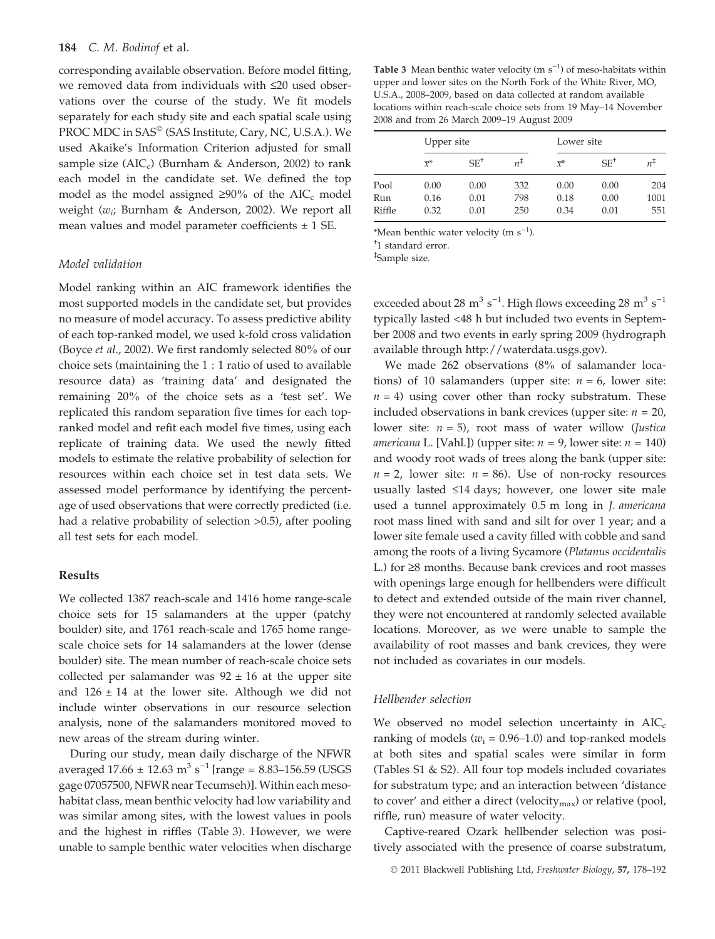corresponding available observation. Before model fitting, we removed data from individuals with  $\leq 20$  used observations over the course of the study. We fit models separately for each study site and each spatial scale using PROC MDC in  $SAS^\circ$  (SAS Institute, Cary, NC, U.S.A.). We used Akaike's Information Criterion adjusted for small sample size (AIC<sub>c</sub>) (Burnham & Anderson, 2002) to rank each model in the candidate set. We defined the top model as the model assigned  $\geq 90\%$  of the AIC<sub>c</sub> model weight ( $w_i$ ; Burnham & Anderson, 2002). We report all mean values and model parameter coefficients  $\pm$  1 SE.

## Model validation

Model ranking within an AIC framework identifies the most supported models in the candidate set, but provides no measure of model accuracy. To assess predictive ability of each top-ranked model, we used k-fold cross validation (Boyce et al., 2002). We first randomly selected 80% of our choice sets (maintaining the 1 : 1 ratio of used to available resource data) as 'training data' and designated the remaining 20% of the choice sets as a 'test set'. We replicated this random separation five times for each topranked model and refit each model five times, using each replicate of training data. We used the newly fitted models to estimate the relative probability of selection for resources within each choice set in test data sets. We assessed model performance by identifying the percentage of used observations that were correctly predicted (i.e. had a relative probability of selection >0.5), after pooling all test sets for each model.

#### Results

We collected 1387 reach-scale and 1416 home range-scale choice sets for 15 salamanders at the upper (patchy boulder) site, and 1761 reach-scale and 1765 home rangescale choice sets for 14 salamanders at the lower (dense boulder) site. The mean number of reach-scale choice sets collected per salamander was  $92 \pm 16$  at the upper site and  $126 \pm 14$  at the lower site. Although we did not include winter observations in our resource selection analysis, none of the salamanders monitored moved to new areas of the stream during winter.

During our study, mean daily discharge of the NFWR averaged 17.66  $\pm$  12.63  $\mathrm{m^{3} \: s^{-1}}$  [range = 8.83–156.59 (USGS gage 07057500, NFWR near Tecumseh)]. Within each mesohabitat class, mean benthic velocity had low variability and was similar among sites, with the lowest values in pools and the highest in riffles (Table 3). However, we were unable to sample benthic water velocities when discharge

**Table 3** Mean benthic water velocity  $(m s<sup>-1</sup>)$  of meso-habitats within upper and lower sites on the North Fork of the White River, MO, U.S.A., 2008–2009, based on data collected at random available locations within reach-scale choice sets from 19 May–14 November 2008 and from 26 March 2009–19 August 2009

|        | Upper site          |        |                | Lower site                       |        |           |
|--------|---------------------|--------|----------------|----------------------------------|--------|-----------|
|        | $\overline{\chi}^*$ | $SE^+$ | $n^{\ddagger}$ | $\overline{\gamma}$ <sup>*</sup> | $SE^+$ | $n^{\mp}$ |
| Pool   | 0.00                | 0.00   | 332            | 0.00                             | 0.00   | 204       |
| Run    | 0.16                | 0.01   | 798            | 0.18                             | 0.00   | 1001      |
| Riffle | 0.32                | 0.01   | 250            | 0.34                             | 0.01   | 551       |

\*Mean benthic water velocity (m  $s^{-1}$ ).

† 1 standard error.

‡ Sample size.

exceeded about 28 m<sup>3</sup> s<sup>-1</sup>. High flows exceeding 28 m<sup>3</sup> s<sup>-1</sup> typically lasted <48 h but included two events in September 2008 and two events in early spring 2009 (hydrograph available through http://waterdata.usgs.gov).

We made 262 observations (8% of salamander locations) of 10 salamanders (upper site:  $n = 6$ , lower site:  $n = 4$ ) using cover other than rocky substratum. These included observations in bank crevices (upper site:  $n = 20$ , lower site:  $n = 5$ ), root mass of water willow (*Justica* americana L. [Vahl.]) (upper site:  $n = 9$ , lower site:  $n = 140$ ) and woody root wads of trees along the bank (upper site:  $n = 2$ , lower site:  $n = 86$ ). Use of non-rocky resources usually lasted  $\leq 14$  days; however, one lower site male used a tunnel approximately 0.5 m long in J. americana root mass lined with sand and silt for over 1 year; and a lower site female used a cavity filled with cobble and sand among the roots of a living Sycamore (Platanus occidentalis L.) for  $\geq$ 8 months. Because bank crevices and root masses with openings large enough for hellbenders were difficult to detect and extended outside of the main river channel, they were not encountered at randomly selected available locations. Moreover, as we were unable to sample the availability of root masses and bank crevices, they were not included as covariates in our models.

## Hellbender selection

We observed no model selection uncertainty in  $AIC_c$ ranking of models ( $w_i$  = 0.96–1.0) and top-ranked models at both sites and spatial scales were similar in form (Tables S1 & S2). All four top models included covariates for substratum type; and an interaction between 'distance to cover' and either a direct (velocity<sub>max</sub>) or relative (pool, riffle, run) measure of water velocity.

Captive-reared Ozark hellbender selection was positively associated with the presence of coarse substratum,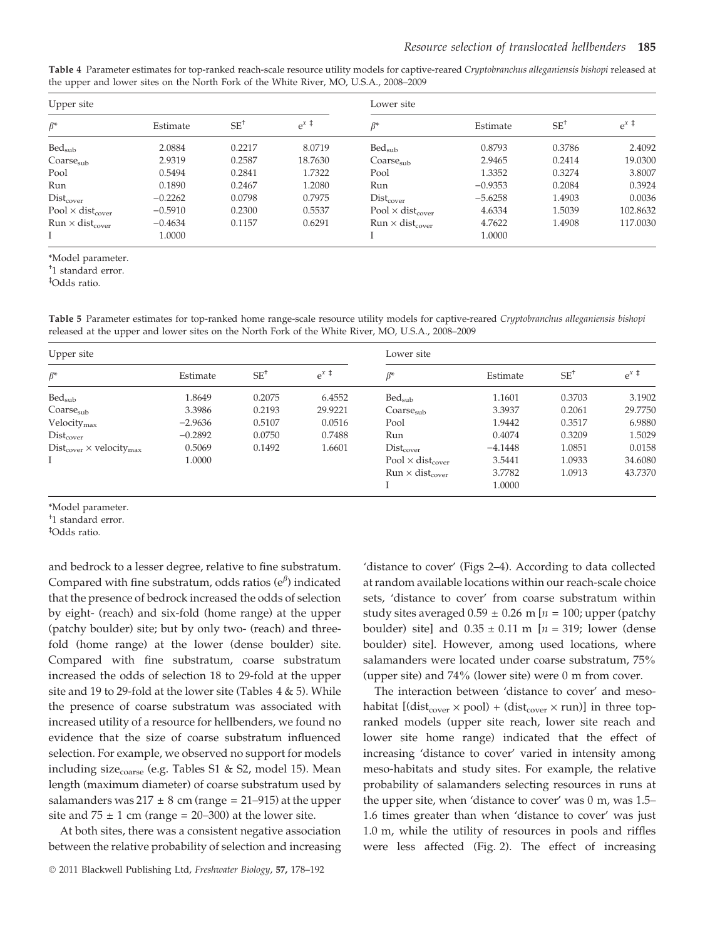Table 4 Parameter estimates for top-ranked reach-scale resource utility models for captive-reared Cryptobranchus alleganiensis bishopi released at the upper and lower sites on the North Fork of the White River, MO, U.S.A., 2008–2009

| Upper site                          |           |        | Lower site |                                     |           |        |           |
|-------------------------------------|-----------|--------|------------|-------------------------------------|-----------|--------|-----------|
| $\beta^*$                           | Estimate  | $SE^+$ | $e^{x}$ ‡  | $\beta^*$                           | Estimate  | $SE^+$ | $e^{x}$ ‡ |
| $Bed_{sub}$                         | 2.0884    | 0.2217 | 8.0719     | $Bed_{sub}$                         | 0.8793    | 0.3786 | 2.4092    |
| $\rm{Coarse}_{sub}$                 | 2.9319    | 0.2587 | 18.7630    | Coarse <sub>sub</sub>               | 2.9465    | 0.2414 | 19.0300   |
| Pool                                | 0.5494    | 0.2841 | 1.7322     | Pool                                | 1.3352    | 0.3274 | 3.8007    |
| Run                                 | 0.1890    | 0.2467 | 1.2080     | Run                                 | $-0.9353$ | 0.2084 | 0.3924    |
| $Dist_{cover}$                      | $-0.2262$ | 0.0798 | 0.7975     | $Dist_{cover}$                      | $-5.6258$ | 1.4903 | 0.0036    |
| Pool $\times$ dist <sub>cover</sub> | $-0.5910$ | 0.2300 | 0.5537     | Pool $\times$ dist <sub>cover</sub> | 4.6334    | 1.5039 | 102.8632  |
| $Run \times dist_{cover}$           | $-0.4634$ | 0.1157 | 0.6291     | $Run \times dist_{cover}$           | 4.7622    | 1.4908 | 117.0030  |
|                                     | 1.0000    |        |            |                                     | 1.0000    |        |           |

\*Model parameter.

† 1 standard error.

‡ Odds ratio.

Table 5 Parameter estimates for top-ranked home range-scale resource utility models for captive-reared Cryptobranchus alleganiensis bishopi released at the upper and lower sites on the North Fork of the White River, MO, U.S.A., 2008–2009

| Upper site                           |           |        |           | Lower site                          |           |        |           |
|--------------------------------------|-----------|--------|-----------|-------------------------------------|-----------|--------|-----------|
| $\beta^*$                            | Estimate  | $SE^+$ | $e^{x}$ ‡ | $\beta^*$                           | Estimate  | $SE^+$ | $e^{x}$ ‡ |
| $Bed_{sub}$                          | 1.8649    | 0.2075 | 6.4552    | $Bed_{sub}$                         | 1.1601    | 0.3703 | 3.1902    |
| $\text{Coarse}_{sub}$                | 3.3986    | 0.2193 | 29.9221   | $\text{Coarse}_{sub}$               | 3.3937    | 0.2061 | 29.7750   |
| Velocity <sub>max</sub>              | $-2.9636$ | 0.5107 | 0.0516    | Pool                                | 1.9442    | 0.3517 | 6.9880    |
| $Dist_{cover}$                       | $-0.2892$ | 0.0750 | 0.7488    | Run                                 | 0.4074    | 0.3209 | 1.5029    |
| $Dist_{cover} \times velocity_{max}$ | 0.5069    | 0.1492 | 1.6601    | $Dist_{cover}$                      | $-4.1448$ | 1.0851 | 0.0158    |
|                                      | 1.0000    |        |           | Pool $\times$ dist <sub>cover</sub> | 3.5441    | 1.0933 | 34.6080   |
|                                      |           |        |           | $Run \times dist_{cover}$           | 3.7782    | 1.0913 | 43.7370   |
|                                      |           |        |           |                                     | 1.0000    |        |           |

\*Model parameter.

† 1 standard error.

‡ Odds ratio.

and bedrock to a lesser degree, relative to fine substratum. Compared with fine substratum, odds ratios  $(e^{\beta})$  indicated that the presence of bedrock increased the odds of selection by eight- (reach) and six-fold (home range) at the upper (patchy boulder) site; but by only two- (reach) and threefold (home range) at the lower (dense boulder) site. Compared with fine substratum, coarse substratum increased the odds of selection 18 to 29-fold at the upper site and 19 to 29-fold at the lower site (Tables 4 & 5). While the presence of coarse substratum was associated with increased utility of a resource for hellbenders, we found no evidence that the size of coarse substratum influenced selection. For example, we observed no support for models including size $_{\text{coarse}}$  (e.g. Tables S1 & S2, model 15). Mean length (maximum diameter) of coarse substratum used by salamanders was  $217 \pm 8$  cm (range = 21–915) at the upper site and  $75 \pm 1$  cm (range = 20–300) at the lower site.

At both sites, there was a consistent negative association between the relative probability of selection and increasing 'distance to cover' (Figs 2–4). According to data collected at random available locations within our reach-scale choice sets, 'distance to cover' from coarse substratum within study sites averaged  $0.59 \pm 0.26$  m [ $n = 100$ ; upper (patchy boulder) site] and  $0.35 \pm 0.11$  m [ $n = 319$ ; lower (dense boulder) site]. However, among used locations, where salamanders were located under coarse substratum, 75% (upper site) and 74% (lower site) were 0 m from cover.

The interaction between 'distance to cover' and mesohabitat  $[(dist_{cover} \times pool) + (dist_{cover} \times run)]$  in three topranked models (upper site reach, lower site reach and lower site home range) indicated that the effect of increasing 'distance to cover' varied in intensity among meso-habitats and study sites. For example, the relative probability of salamanders selecting resources in runs at the upper site, when 'distance to cover' was 0 m, was 1.5– 1.6 times greater than when 'distance to cover' was just 1.0 m, while the utility of resources in pools and riffles were less affected (Fig. 2). The effect of increasing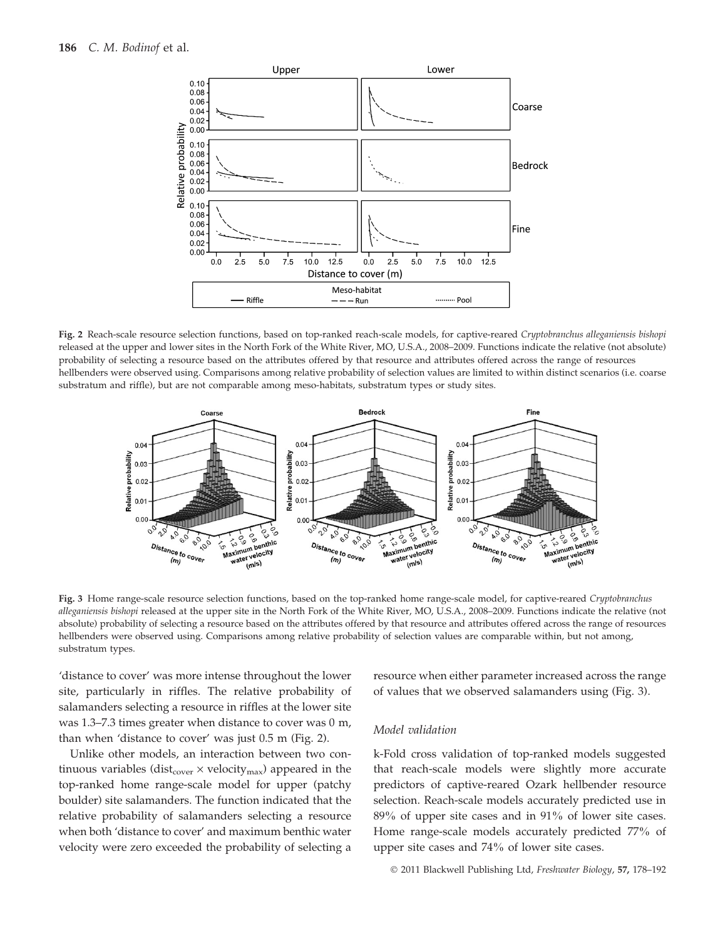

Fig. 2 Reach-scale resource selection functions, based on top-ranked reach-scale models, for captive-reared Cryptobranchus alleganiensis bishopi released at the upper and lower sites in the North Fork of the White River, MO, U.S.A., 2008–2009. Functions indicate the relative (not absolute) probability of selecting a resource based on the attributes offered by that resource and attributes offered across the range of resources hellbenders were observed using. Comparisons among relative probability of selection values are limited to within distinct scenarios (i.e. coarse substratum and riffle), but are not comparable among meso-habitats, substratum types or study sites.



Fig. 3 Home range-scale resource selection functions, based on the top-ranked home range-scale model, for captive-reared Cryptobranchus alleganiensis bishopi released at the upper site in the North Fork of the White River, MO, U.S.A., 2008–2009. Functions indicate the relative (not absolute) probability of selecting a resource based on the attributes offered by that resource and attributes offered across the range of resources hellbenders were observed using. Comparisons among relative probability of selection values are comparable within, but not among, substratum types.

'distance to cover' was more intense throughout the lower site, particularly in riffles. The relative probability of salamanders selecting a resource in riffles at the lower site was 1.3–7.3 times greater when distance to cover was 0 m, than when 'distance to cover' was just 0.5 m (Fig. 2).

Unlike other models, an interaction between two continuous variables (dist<sub>cover</sub>  $\times$  velocity<sub>max</sub>) appeared in the top-ranked home range-scale model for upper (patchy boulder) site salamanders. The function indicated that the relative probability of salamanders selecting a resource when both 'distance to cover' and maximum benthic water velocity were zero exceeded the probability of selecting a

resource when either parameter increased across the range of values that we observed salamanders using (Fig. 3).

## Model validation

k-Fold cross validation of top-ranked models suggested that reach-scale models were slightly more accurate predictors of captive-reared Ozark hellbender resource selection. Reach-scale models accurately predicted use in 89% of upper site cases and in 91% of lower site cases. Home range-scale models accurately predicted 77% of upper site cases and 74% of lower site cases.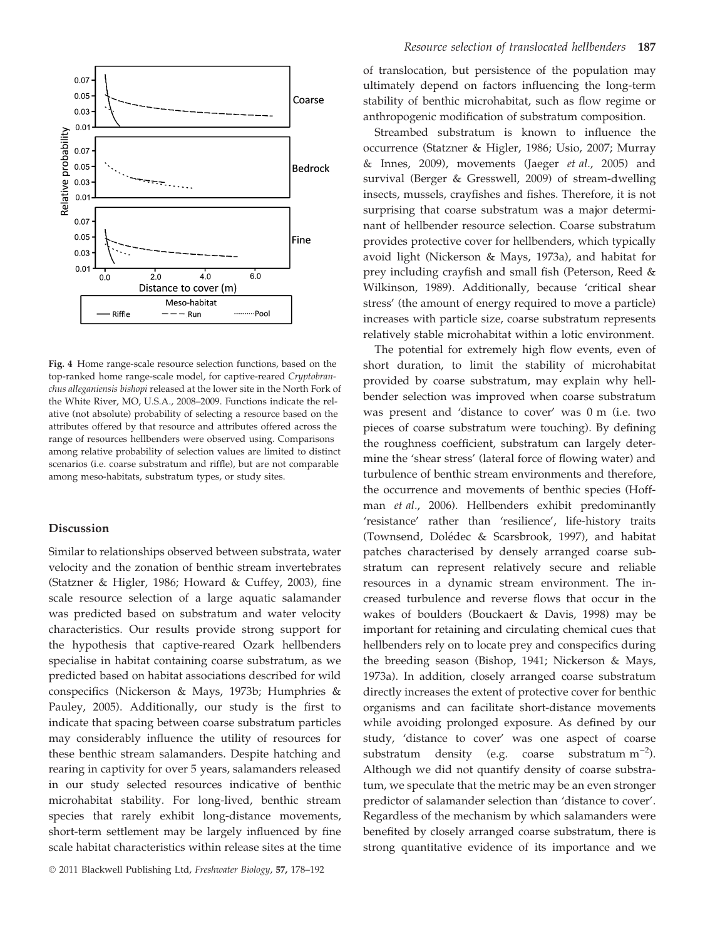

Fig. 4 Home range-scale resource selection functions, based on the top-ranked home range-scale model, for captive-reared Cryptobranchus alleganiensis bishopi released at the lower site in the North Fork of the White River, MO, U.S.A., 2008–2009. Functions indicate the relative (not absolute) probability of selecting a resource based on the attributes offered by that resource and attributes offered across the range of resources hellbenders were observed using. Comparisons among relative probability of selection values are limited to distinct scenarios (i.e. coarse substratum and riffle), but are not comparable among meso-habitats, substratum types, or study sites.

#### Discussion

Similar to relationships observed between substrata, water velocity and the zonation of benthic stream invertebrates (Statzner & Higler, 1986; Howard & Cuffey, 2003), fine scale resource selection of a large aquatic salamander was predicted based on substratum and water velocity characteristics. Our results provide strong support for the hypothesis that captive-reared Ozark hellbenders specialise in habitat containing coarse substratum, as we predicted based on habitat associations described for wild conspecifics (Nickerson & Mays, 1973b; Humphries & Pauley, 2005). Additionally, our study is the first to indicate that spacing between coarse substratum particles may considerably influence the utility of resources for these benthic stream salamanders. Despite hatching and rearing in captivity for over 5 years, salamanders released in our study selected resources indicative of benthic microhabitat stability. For long-lived, benthic stream species that rarely exhibit long-distance movements, short-term settlement may be largely influenced by fine scale habitat characteristics within release sites at the time of translocation, but persistence of the population may ultimately depend on factors influencing the long-term stability of benthic microhabitat, such as flow regime or anthropogenic modification of substratum composition.

Streambed substratum is known to influence the occurrence (Statzner & Higler, 1986; Usio, 2007; Murray & Innes, 2009), movements (Jaeger et al., 2005) and survival (Berger & Gresswell, 2009) of stream-dwelling insects, mussels, crayfishes and fishes. Therefore, it is not surprising that coarse substratum was a major determinant of hellbender resource selection. Coarse substratum provides protective cover for hellbenders, which typically avoid light (Nickerson & Mays, 1973a), and habitat for prey including crayfish and small fish (Peterson, Reed & Wilkinson, 1989). Additionally, because 'critical shear stress' (the amount of energy required to move a particle) increases with particle size, coarse substratum represents relatively stable microhabitat within a lotic environment.

The potential for extremely high flow events, even of short duration, to limit the stability of microhabitat provided by coarse substratum, may explain why hellbender selection was improved when coarse substratum was present and 'distance to cover' was 0 m (i.e. two pieces of coarse substratum were touching). By defining the roughness coefficient, substratum can largely determine the 'shear stress' (lateral force of flowing water) and turbulence of benthic stream environments and therefore, the occurrence and movements of benthic species (Hoffman et al., 2006). Hellbenders exhibit predominantly 'resistance' rather than 'resilience', life-history traits (Townsend, Dolédec & Scarsbrook, 1997), and habitat patches characterised by densely arranged coarse substratum can represent relatively secure and reliable resources in a dynamic stream environment. The increased turbulence and reverse flows that occur in the wakes of boulders (Bouckaert & Davis, 1998) may be important for retaining and circulating chemical cues that hellbenders rely on to locate prey and conspecifics during the breeding season (Bishop, 1941; Nickerson & Mays, 1973a). In addition, closely arranged coarse substratum directly increases the extent of protective cover for benthic organisms and can facilitate short-distance movements while avoiding prolonged exposure. As defined by our study, 'distance to cover' was one aspect of coarse substratum density (e.g. coarse substratum  $m^{-2}$ ). Although we did not quantify density of coarse substratum, we speculate that the metric may be an even stronger predictor of salamander selection than 'distance to cover'. Regardless of the mechanism by which salamanders were benefited by closely arranged coarse substratum, there is strong quantitative evidence of its importance and we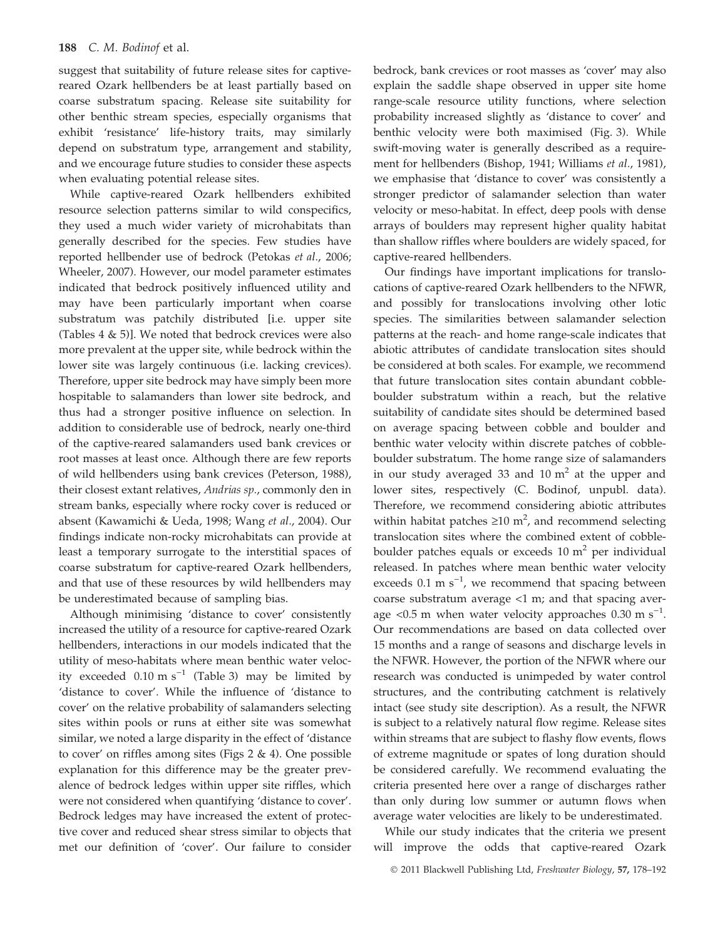suggest that suitability of future release sites for captivereared Ozark hellbenders be at least partially based on coarse substratum spacing. Release site suitability for other benthic stream species, especially organisms that exhibit 'resistance' life-history traits, may similarly depend on substratum type, arrangement and stability, and we encourage future studies to consider these aspects when evaluating potential release sites.

While captive-reared Ozark hellbenders exhibited resource selection patterns similar to wild conspecifics, they used a much wider variety of microhabitats than generally described for the species. Few studies have reported hellbender use of bedrock (Petokas et al., 2006; Wheeler, 2007). However, our model parameter estimates indicated that bedrock positively influenced utility and may have been particularly important when coarse substratum was patchily distributed [i.e. upper site (Tables  $4 \& 5$ )]. We noted that bedrock crevices were also more prevalent at the upper site, while bedrock within the lower site was largely continuous (i.e. lacking crevices). Therefore, upper site bedrock may have simply been more hospitable to salamanders than lower site bedrock, and thus had a stronger positive influence on selection. In addition to considerable use of bedrock, nearly one-third of the captive-reared salamanders used bank crevices or root masses at least once. Although there are few reports of wild hellbenders using bank crevices (Peterson, 1988), their closest extant relatives, Andrias sp., commonly den in stream banks, especially where rocky cover is reduced or absent (Kawamichi & Ueda, 1998; Wang et al., 2004). Our findings indicate non-rocky microhabitats can provide at least a temporary surrogate to the interstitial spaces of coarse substratum for captive-reared Ozark hellbenders, and that use of these resources by wild hellbenders may be underestimated because of sampling bias.

Although minimising 'distance to cover' consistently increased the utility of a resource for captive-reared Ozark hellbenders, interactions in our models indicated that the utility of meso-habitats where mean benthic water velocity exceeded  $0.10 \text{ m s}^{-1}$  (Table 3) may be limited by 'distance to cover'. While the influence of 'distance to cover' on the relative probability of salamanders selecting sites within pools or runs at either site was somewhat similar, we noted a large disparity in the effect of 'distance to cover' on riffles among sites (Figs 2 & 4). One possible explanation for this difference may be the greater prevalence of bedrock ledges within upper site riffles, which were not considered when quantifying 'distance to cover'. Bedrock ledges may have increased the extent of protective cover and reduced shear stress similar to objects that met our definition of 'cover'. Our failure to consider bedrock, bank crevices or root masses as 'cover' may also explain the saddle shape observed in upper site home range-scale resource utility functions, where selection probability increased slightly as 'distance to cover' and benthic velocity were both maximised (Fig. 3). While swift-moving water is generally described as a requirement for hellbenders (Bishop, 1941; Williams et al., 1981), we emphasise that 'distance to cover' was consistently a stronger predictor of salamander selection than water velocity or meso-habitat. In effect, deep pools with dense arrays of boulders may represent higher quality habitat than shallow riffles where boulders are widely spaced, for captive-reared hellbenders.

Our findings have important implications for translocations of captive-reared Ozark hellbenders to the NFWR, and possibly for translocations involving other lotic species. The similarities between salamander selection patterns at the reach- and home range-scale indicates that abiotic attributes of candidate translocation sites should be considered at both scales. For example, we recommend that future translocation sites contain abundant cobbleboulder substratum within a reach, but the relative suitability of candidate sites should be determined based on average spacing between cobble and boulder and benthic water velocity within discrete patches of cobbleboulder substratum. The home range size of salamanders in our study averaged 33 and 10  $m<sup>2</sup>$  at the upper and lower sites, respectively (C. Bodinof, unpubl. data). Therefore, we recommend considering abiotic attributes within habitat patches  $\geq 10$  m<sup>2</sup>, and recommend selecting translocation sites where the combined extent of cobbleboulder patches equals or exceeds  $10 \text{ m}^2$  per individual released. In patches where mean benthic water velocity exceeds  $0.1 \text{ m s}^{-1}$ , we recommend that spacing between coarse substratum average <1 m; and that spacing average <0.5 m when water velocity approaches  $0.30 \text{ m s}^{-1}$ . Our recommendations are based on data collected over 15 months and a range of seasons and discharge levels in the NFWR. However, the portion of the NFWR where our research was conducted is unimpeded by water control structures, and the contributing catchment is relatively intact (see study site description). As a result, the NFWR is subject to a relatively natural flow regime. Release sites within streams that are subject to flashy flow events, flows of extreme magnitude or spates of long duration should be considered carefully. We recommend evaluating the criteria presented here over a range of discharges rather than only during low summer or autumn flows when average water velocities are likely to be underestimated.

While our study indicates that the criteria we present will improve the odds that captive-reared Ozark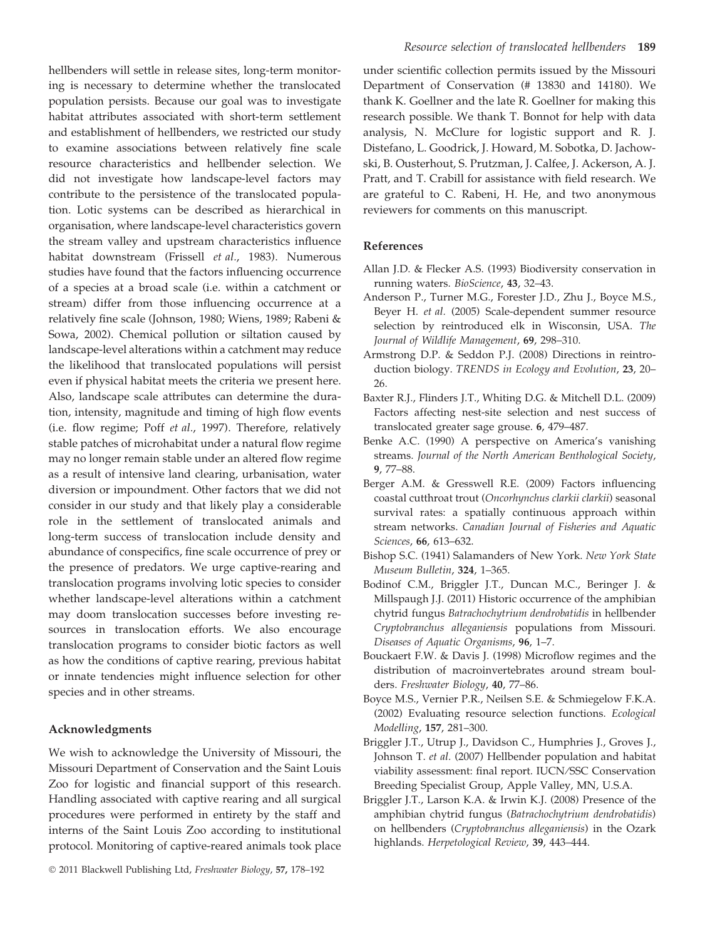hellbenders will settle in release sites, long-term monitoring is necessary to determine whether the translocated population persists. Because our goal was to investigate habitat attributes associated with short-term settlement and establishment of hellbenders, we restricted our study to examine associations between relatively fine scale resource characteristics and hellbender selection. We did not investigate how landscape-level factors may contribute to the persistence of the translocated population. Lotic systems can be described as hierarchical in organisation, where landscape-level characteristics govern the stream valley and upstream characteristics influence habitat downstream (Frissell et al., 1983). Numerous studies have found that the factors influencing occurrence of a species at a broad scale (i.e. within a catchment or stream) differ from those influencing occurrence at a relatively fine scale (Johnson, 1980; Wiens, 1989; Rabeni & Sowa, 2002). Chemical pollution or siltation caused by landscape-level alterations within a catchment may reduce the likelihood that translocated populations will persist even if physical habitat meets the criteria we present here. Also, landscape scale attributes can determine the duration, intensity, magnitude and timing of high flow events (i.e. flow regime; Poff et al., 1997). Therefore, relatively stable patches of microhabitat under a natural flow regime may no longer remain stable under an altered flow regime as a result of intensive land clearing, urbanisation, water diversion or impoundment. Other factors that we did not consider in our study and that likely play a considerable role in the settlement of translocated animals and long-term success of translocation include density and abundance of conspecifics, fine scale occurrence of prey or the presence of predators. We urge captive-rearing and translocation programs involving lotic species to consider whether landscape-level alterations within a catchment may doom translocation successes before investing resources in translocation efforts. We also encourage translocation programs to consider biotic factors as well as how the conditions of captive rearing, previous habitat or innate tendencies might influence selection for other species and in other streams.

## Acknowledgments

We wish to acknowledge the University of Missouri, the Missouri Department of Conservation and the Saint Louis Zoo for logistic and financial support of this research. Handling associated with captive rearing and all surgical procedures were performed in entirety by the staff and interns of the Saint Louis Zoo according to institutional protocol. Monitoring of captive-reared animals took place

© 2011 Blackwell Publishing Ltd, Freshwater Biology, 57, 178-192

under scientific collection permits issued by the Missouri Department of Conservation (# 13830 and 14180). We thank K. Goellner and the late R. Goellner for making this research possible. We thank T. Bonnot for help with data analysis, N. McClure for logistic support and R. J. Distefano, L. Goodrick, J. Howard, M. Sobotka, D. Jachowski, B. Ousterhout, S. Prutzman, J. Calfee, J. Ackerson, A. J. Pratt, and T. Crabill for assistance with field research. We are grateful to C. Rabeni, H. He, and two anonymous reviewers for comments on this manuscript.

#### References

- Allan J.D. & Flecker A.S. (1993) Biodiversity conservation in running waters. BioScience, 43, 32–43.
- Anderson P., Turner M.G., Forester J.D., Zhu J., Boyce M.S., Beyer H. et al. (2005) Scale-dependent summer resource selection by reintroduced elk in Wisconsin, USA. The Journal of Wildlife Management, 69, 298–310.
- Armstrong D.P. & Seddon P.J. (2008) Directions in reintroduction biology. TRENDS in Ecology and Evolution, 23, 20– 26.
- Baxter R.J., Flinders J.T., Whiting D.G. & Mitchell D.L. (2009) Factors affecting nest-site selection and nest success of translocated greater sage grouse. 6, 479–487.
- Benke A.C. (1990) A perspective on America's vanishing streams. Journal of the North American Benthological Society, 9, 77–88.
- Berger A.M. & Gresswell R.E. (2009) Factors influencing coastal cutthroat trout (Oncorhynchus clarkii clarkii) seasonal survival rates: a spatially continuous approach within stream networks. Canadian Journal of Fisheries and Aquatic Sciences, 66, 613–632.
- Bishop S.C. (1941) Salamanders of New York. New York State Museum Bulletin, 324, 1–365.
- Bodinof C.M., Briggler J.T., Duncan M.C., Beringer J. & Millspaugh J.J. (2011) Historic occurrence of the amphibian chytrid fungus Batrachochytrium dendrobatidis in hellbender Cryptobranchus alleganiensis populations from Missouri. Diseases of Aquatic Organisms, 96, 1–7.
- Bouckaert F.W. & Davis J. (1998) Microflow regimes and the distribution of macroinvertebrates around stream boulders. Freshwater Biology, 40, 77–86.
- Boyce M.S., Vernier P.R., Neilsen S.E. & Schmiegelow F.K.A. (2002) Evaluating resource selection functions. Ecological Modelling, 157, 281–300.
- Briggler J.T., Utrup J., Davidson C., Humphries J., Groves J., Johnson T. et al. (2007) Hellbender population and habitat viability assessment: final report. IUCN/SSC Conservation Breeding Specialist Group, Apple Valley, MN, U.S.A.
- Briggler J.T., Larson K.A. & Irwin K.J. (2008) Presence of the amphibian chytrid fungus (Batrachochytrium dendrobatidis) on hellbenders (Cryptobranchus alleganiensis) in the Ozark highlands. Herpetological Review, 39, 443–444.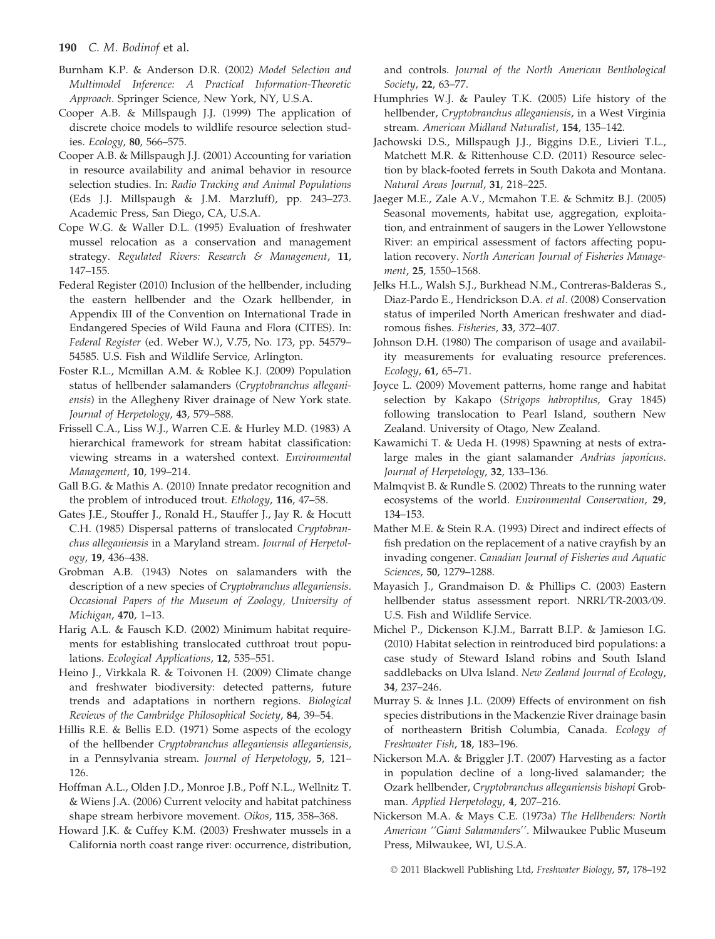- Burnham K.P. & Anderson D.R. (2002) Model Selection and Multimodel Inference: A Practical Information-Theoretic Approach. Springer Science, New York, NY, U.S.A.
- Cooper A.B. & Millspaugh J.J. (1999) The application of discrete choice models to wildlife resource selection studies. Ecology, 80, 566–575.
- Cooper A.B. & Millspaugh J.J. (2001) Accounting for variation in resource availability and animal behavior in resource selection studies. In: Radio Tracking and Animal Populations (Eds J.J. Millspaugh & J.M. Marzluff), pp. 243–273. Academic Press, San Diego, CA, U.S.A.
- Cope W.G. & Waller D.L. (1995) Evaluation of freshwater mussel relocation as a conservation and management strategy. Regulated Rivers: Research & Management, 11, 147–155.
- Federal Register (2010) Inclusion of the hellbender, including the eastern hellbender and the Ozark hellbender, in Appendix III of the Convention on International Trade in Endangered Species of Wild Fauna and Flora (CITES). In: Federal Register (ed. Weber W.), V.75, No. 173, pp. 54579– 54585. U.S. Fish and Wildlife Service, Arlington.
- Foster R.L., Mcmillan A.M. & Roblee K.J. (2009) Population status of hellbender salamanders (Cryptobranchus alleganiensis) in the Allegheny River drainage of New York state. Journal of Herpetology, 43, 579–588.
- Frissell C.A., Liss W.J., Warren C.E. & Hurley M.D. (1983) A hierarchical framework for stream habitat classification: viewing streams in a watershed context. Environmental Management, 10, 199–214.
- Gall B.G. & Mathis A. (2010) Innate predator recognition and the problem of introduced trout. Ethology, 116, 47–58.
- Gates J.E., Stouffer J., Ronald H., Stauffer J., Jay R. & Hocutt C.H. (1985) Dispersal patterns of translocated Cryptobranchus alleganiensis in a Maryland stream. Journal of Herpetology, 19, 436–438.
- Grobman A.B. (1943) Notes on salamanders with the description of a new species of Cryptobranchus alleganiensis. Occasional Papers of the Museum of Zoology, University of Michigan, 470, 1–13.
- Harig A.L. & Fausch K.D. (2002) Minimum habitat requirements for establishing translocated cutthroat trout populations. Ecological Applications, 12, 535–551.
- Heino J., Virkkala R. & Toivonen H. (2009) Climate change and freshwater biodiversity: detected patterns, future trends and adaptations in northern regions. Biological Reviews of the Cambridge Philosophical Society, 84, 39–54.
- Hillis R.E. & Bellis E.D. (1971) Some aspects of the ecology of the hellbender Cryptobranchus alleganiensis alleganiensis, in a Pennsylvania stream. Journal of Herpetology, 5, 121– 126.
- Hoffman A.L., Olden J.D., Monroe J.B., Poff N.L., Wellnitz T. & Wiens J.A. (2006) Current velocity and habitat patchiness shape stream herbivore movement. Oikos, 115, 358–368.
- Howard J.K. & Cuffey K.M. (2003) Freshwater mussels in a California north coast range river: occurrence, distribution,

and controls. Journal of the North American Benthological Society, 22, 63–77.

- Humphries W.J. & Pauley T.K. (2005) Life history of the hellbender, Cryptobranchus alleganiensis, in a West Virginia stream. American Midland Naturalist, 154, 135–142.
- Jachowski D.S., Millspaugh J.J., Biggins D.E., Livieri T.L., Matchett M.R. & Rittenhouse C.D. (2011) Resource selection by black-footed ferrets in South Dakota and Montana. Natural Areas Journal, 31, 218–225.
- Jaeger M.E., Zale A.V., Mcmahon T.E. & Schmitz B.J. (2005) Seasonal movements, habitat use, aggregation, exploitation, and entrainment of saugers in the Lower Yellowstone River: an empirical assessment of factors affecting population recovery. North American Journal of Fisheries Management, 25, 1550–1568.
- Jelks H.L., Walsh S.J., Burkhead N.M., Contreras-Balderas S., Diaz-Pardo E., Hendrickson D.A. et al. (2008) Conservation status of imperiled North American freshwater and diadromous fishes. Fisheries, 33, 372–407.
- Johnson D.H. (1980) The comparison of usage and availability measurements for evaluating resource preferences. Ecology, 61, 65–71.
- Joyce L. (2009) Movement patterns, home range and habitat selection by Kakapo (Strigops habroptilus, Gray 1845) following translocation to Pearl Island, southern New Zealand. University of Otago, New Zealand.
- Kawamichi T. & Ueda H. (1998) Spawning at nests of extralarge males in the giant salamander Andrias japonicus. Journal of Herpetology, 32, 133–136.
- Malmqvist B. & Rundle S. (2002) Threats to the running water ecosystems of the world. Environmental Conservation, 29, 134–153.
- Mather M.E. & Stein R.A. (1993) Direct and indirect effects of fish predation on the replacement of a native crayfish by an invading congener. Canadian Journal of Fisheries and Aquatic Sciences, 50, 1279–1288.
- Mayasich J., Grandmaison D. & Phillips C. (2003) Eastern hellbender status assessment report. NRRI/TR-2003/09. U.S. Fish and Wildlife Service.
- Michel P., Dickenson K.J.M., Barratt B.I.P. & Jamieson I.G. (2010) Habitat selection in reintroduced bird populations: a case study of Steward Island robins and South Island saddlebacks on Ulva Island. New Zealand Journal of Ecology, 34, 237–246.
- Murray S. & Innes J.L. (2009) Effects of environment on fish species distributions in the Mackenzie River drainage basin of northeastern British Columbia, Canada. Ecology of Freshwater Fish, 18, 183–196.
- Nickerson M.A. & Briggler J.T. (2007) Harvesting as a factor in population decline of a long-lived salamander; the Ozark hellbender, Cryptobranchus alleganiensis bishopi Grobman. Applied Herpetology, 4, 207–216.
- Nickerson M.A. & Mays C.E. (1973a) The Hellbenders: North American ''Giant Salamanders''. Milwaukee Public Museum Press, Milwaukee, WI, U.S.A.

<sup>© 2011</sup> Blackwell Publishing Ltd, Freshwater Biology, 57, 178-192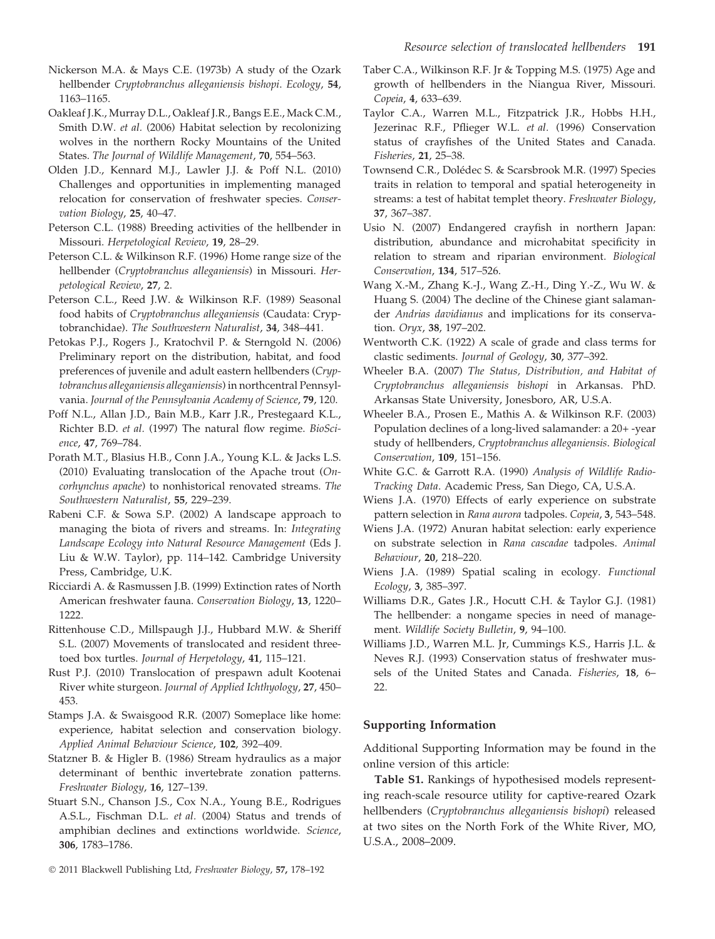Nickerson M.A. & Mays C.E. (1973b) A study of the Ozark hellbender Cryptobranchus alleganiensis bishopi. Ecology, 54, 1163–1165.

Oakleaf J.K., Murray D.L., Oakleaf J.R., Bangs E.E., Mack C.M., Smith D.W. et al. (2006) Habitat selection by recolonizing wolves in the northern Rocky Mountains of the United States. The Journal of Wildlife Management, 70, 554–563.

Olden J.D., Kennard M.J., Lawler J.J. & Poff N.L. (2010) Challenges and opportunities in implementing managed relocation for conservation of freshwater species. Conservation Biology, 25, 40–47.

Peterson C.L. (1988) Breeding activities of the hellbender in Missouri. Herpetological Review, 19, 28–29.

Peterson C.L. & Wilkinson R.F. (1996) Home range size of the hellbender (Cryptobranchus alleganiensis) in Missouri. Herpetological Review, 27, 2.

Peterson C.L., Reed J.W. & Wilkinson R.F. (1989) Seasonal food habits of Cryptobranchus alleganiensis (Caudata: Cryptobranchidae). The Southwestern Naturalist, 34, 348–441.

Petokas P.J., Rogers J., Kratochvil P. & Sterngold N. (2006) Preliminary report on the distribution, habitat, and food preferences of juvenile and adult eastern hellbenders (Cryptobranchus alleganiensis alleganiensis) in northcentral Pennsylvania. Journal of the Pennsylvania Academy of Science, 79, 120.

Poff N.L., Allan J.D., Bain M.B., Karr J.R., Prestegaard K.L., Richter B.D. et al. (1997) The natural flow regime. BioScience, 47, 769–784.

Porath M.T., Blasius H.B., Conn J.A., Young K.L. & Jacks L.S. (2010) Evaluating translocation of the Apache trout (Oncorhynchus apache) to nonhistorical renovated streams. The Southwestern Naturalist, 55, 229–239.

Rabeni C.F. & Sowa S.P. (2002) A landscape approach to managing the biota of rivers and streams. In: Integrating Landscape Ecology into Natural Resource Management (Eds J. Liu & W.W. Taylor), pp. 114–142. Cambridge University Press, Cambridge, U.K.

Ricciardi A. & Rasmussen J.B. (1999) Extinction rates of North American freshwater fauna. Conservation Biology, 13, 1220– 1222.

Rittenhouse C.D., Millspaugh J.J., Hubbard M.W. & Sheriff S.L. (2007) Movements of translocated and resident threetoed box turtles. Journal of Herpetology, 41, 115–121.

Rust P.J. (2010) Translocation of prespawn adult Kootenai River white sturgeon. Journal of Applied Ichthyology, 27, 450– 453.

Stamps J.A. & Swaisgood R.R. (2007) Someplace like home: experience, habitat selection and conservation biology. Applied Animal Behaviour Science, 102, 392–409.

Statzner B. & Higler B. (1986) Stream hydraulics as a major determinant of benthic invertebrate zonation patterns. Freshwater Biology, 16, 127–139.

Stuart S.N., Chanson J.S., Cox N.A., Young B.E., Rodrigues A.S.L., Fischman D.L. et al. (2004) Status and trends of amphibian declines and extinctions worldwide. Science, 306, 1783–1786.

Taber C.A., Wilkinson R.F. Jr & Topping M.S. (1975) Age and growth of hellbenders in the Niangua River, Missouri. Copeia, 4, 633–639.

Taylor C.A., Warren M.L., Fitzpatrick J.R., Hobbs H.H., Jezerinac R.F., Pflieger W.L. et al. (1996) Conservation status of crayfishes of the United States and Canada. Fisheries, 21, 25–38.

Townsend C.R., Dolédec S. & Scarsbrook M.R. (1997) Species traits in relation to temporal and spatial heterogeneity in streams: a test of habitat templet theory. Freshwater Biology, 37, 367–387.

Usio N. (2007) Endangered crayfish in northern Japan: distribution, abundance and microhabitat specificity in relation to stream and riparian environment. Biological Conservation, 134, 517–526.

Wang X.-M., Zhang K.-J., Wang Z.-H., Ding Y.-Z., Wu W. & Huang S. (2004) The decline of the Chinese giant salamander Andrias davidianus and implications for its conservation. Oryx, 38, 197–202.

Wentworth C.K. (1922) A scale of grade and class terms for clastic sediments. Journal of Geology, 30, 377–392.

Wheeler B.A. (2007) The Status, Distribution, and Habitat of Cryptobranchus alleganiensis bishopi in Arkansas. PhD. Arkansas State University, Jonesboro, AR, U.S.A.

Wheeler B.A., Prosen E., Mathis A. & Wilkinson R.F. (2003) Population declines of a long-lived salamander: a 20+ -year study of hellbenders, Cryptobranchus alleganiensis. Biological Conservation, 109, 151–156.

White G.C. & Garrott R.A. (1990) Analysis of Wildlife Radio-Tracking Data. Academic Press, San Diego, CA, U.S.A.

Wiens J.A. (1970) Effects of early experience on substrate pattern selection in Rana aurora tadpoles. Copeia, 3, 543–548.

Wiens J.A. (1972) Anuran habitat selection: early experience on substrate selection in Rana cascadae tadpoles. Animal Behaviour, 20, 218–220.

Wiens J.A. (1989) Spatial scaling in ecology. Functional Ecology, 3, 385–397.

Williams D.R., Gates J.R., Hocutt C.H. & Taylor G.J. (1981) The hellbender: a nongame species in need of management. Wildlife Society Bulletin, 9, 94–100.

Williams J.D., Warren M.L. Jr, Cummings K.S., Harris J.L. & Neves R.J. (1993) Conservation status of freshwater mussels of the United States and Canada. Fisheries, 18, 6– 22.

### Supporting Information

Additional Supporting Information may be found in the online version of this article:

Table S1. Rankings of hypothesised models representing reach-scale resource utility for captive-reared Ozark hellbenders (Cryptobranchus alleganiensis bishopi) released at two sites on the North Fork of the White River, MO, U.S.A., 2008–2009.

<sup>© 2011</sup> Blackwell Publishing Ltd, Freshwater Biology, 57, 178-192